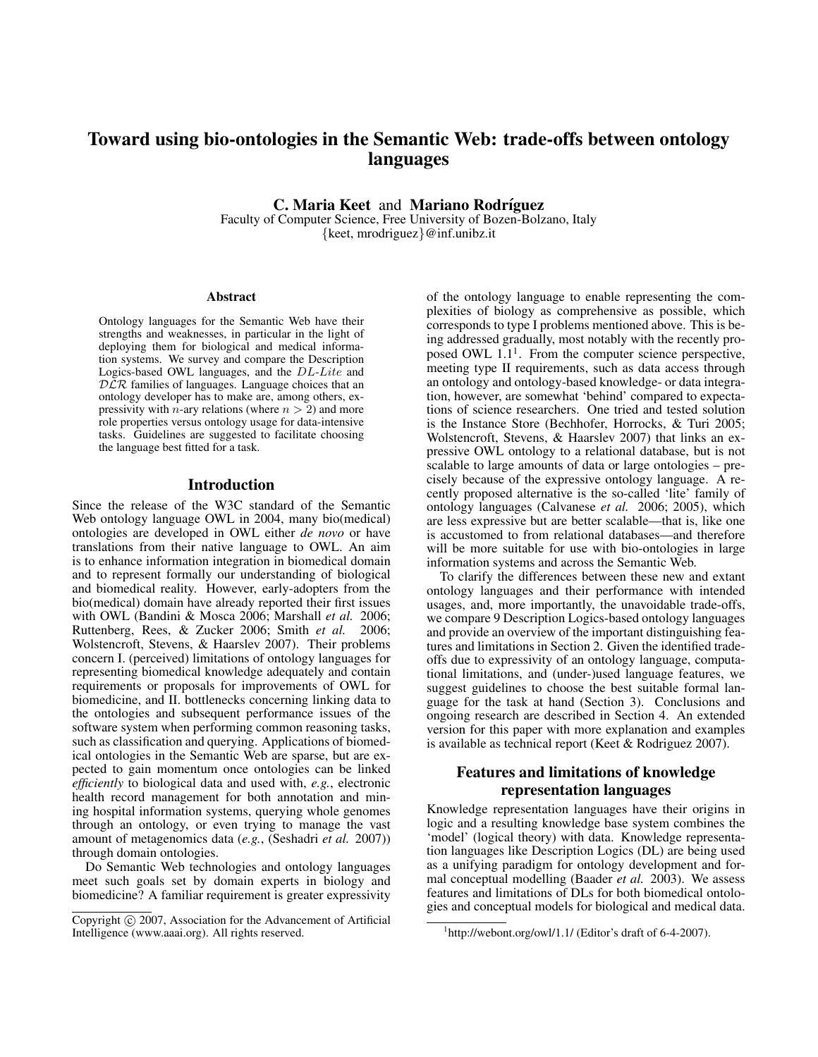# Toward using bio-ontologies in the Semantic Web: trade-offs between ontology languages

C. Maria Keet and Mariano Rodríguez

Faculty of Computer Science, Free University of Bozen-Bolzano, Italy {keet, mrodriguez}@inf.unibz.it

#### **Abstract**

Ontology languages for the Semantic Web have their strengths and weaknesses, in particular in the light of deploying them for biological and medical information systems. We survey and compare the Description Logics-based OWL languages, and the DL-Lite and  $DLR$  families of languages. Language choices that an ontology developer has to make are, among others, expressivity with *n*-ary relations (where  $n > 2$ ) and more role properties versus ontology usage for data-intensive tasks. Guidelines are suggested to facilitate choosing the language best fitted for a task.

#### Introduction

Since the release of the W3C standard of the Semantic Web ontology language OWL in 2004, many bio(medical) ontologies are developed in OWL either *de novo* or have translations from their native language to OWL. An aim is to enhance information integration in biomedical domain and to represent formally our understanding of biological and biomedical reality. However, early-adopters from the bio(medical) domain have already reported their first issues with OWL (Bandini & Mosca 2006; Marshall *et al.* 2006; Ruttenberg, Rees, & Zucker 2006; Smith *et al.* 2006; Wolstencroft, Stevens, & Haarslev 2007). Their problems concern I. (perceived) limitations of ontology languages for representing biomedical knowledge adequately and contain requirements or proposals for improvements of OWL for biomedicine, and II. bottlenecks concerning linking data to the ontologies and subsequent performance issues of the software system when performing common reasoning tasks, such as classification and querying. Applications of biomedical ontologies in the Semantic Web are sparse, but are expected to gain momentum once ontologies can be linked *efficiently* to biological data and used with, *e.g.*, electronic health record management for both annotation and mining hospital information systems, querying whole genomes through an ontology, or even trying to manage the vast amount of metagenomics data (*e.g.*, (Seshadri *et al.* 2007)) through domain ontologies.

Do Semantic Web technologies and ontology languages meet such goals set by domain experts in biology and biomedicine? A familiar requirement is greater expressivity

of the ontology language to enable representing the complexities of biology as comprehensive as possible, which corresponds to type I problems mentioned above. This is being addressed gradually, most notably with the recently proposed OWL  $1.1<sup>1</sup>$ . From the computer science perspective, meeting type II requirements, such as data access through an ontology and ontology-based knowledge- or data integration, however, are somewhat 'behind' compared to expectations of science researchers. One tried and tested solution is the Instance Store (Bechhofer, Horrocks, & Turi 2005; Wolstencroft, Stevens, & Haarslev 2007) that links an expressive OWL ontology to a relational database, but is not scalable to large amounts of data or large ontologies – precisely because of the expressive ontology language. A recently proposed alternative is the so-called 'lite' family of ontology languages (Calvanese *et al.* 2006; 2005), which are less expressive but are better scalable—that is, like one is accustomed to from relational databases—and therefore will be more suitable for use with bio-ontologies in large information systems and across the Semantic Web.

To clarify the differences between these new and extant ontology languages and their performance with intended usages, and, more importantly, the unavoidable trade-offs, we compare 9 Description Logics-based ontology languages and provide an overview of the important distinguishing features and limitations in Section 2. Given the identified tradeoffs due to expressivity of an ontology language, computational limitations, and (under-)used language features, we suggest guidelines to choose the best suitable formal language for the task at hand (Section 3). Conclusions and ongoing research are described in Section 4. An extended version for this paper with more explanation and examples is available as technical report (Keet & Rodriguez 2007).

# Features and limitations of knowledge representation languages

Knowledge representation languages have their origins in logic and a resulting knowledge base system combines the 'model' (logical theory) with data. Knowledge representation languages like Description Logics (DL) are being used as a unifying paradigm for ontology development and formal conceptual modelling (Baader *et al.* 2003). We assess features and limitations of DLs for both biomedical ontologies and conceptual models for biological and medical data.

Copyright (c) 2007, Association for the Advancement of Artificial Intelligence (www.aaai.org). All rights reserved.

<sup>&</sup>lt;sup>1</sup>http://webont.org/owl/1.1/ (Editor's draft of 6-4-2007).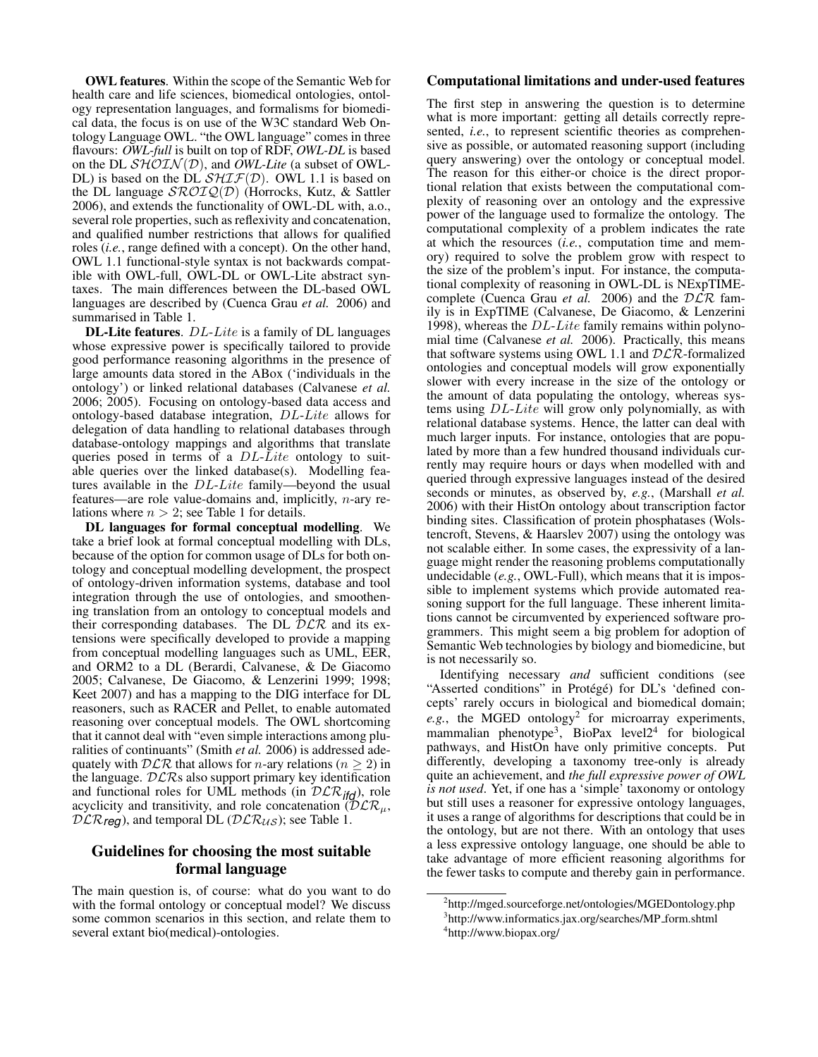OWL features. Within the scope of the Semantic Web for health care and life sciences, biomedical ontologies, ontology representation languages, and formalisms for biomedical data, the focus is on use of the W3C standard Web Ontology Language OWL. "the OWL language" comes in three flavours: *OWL-full* is built on top of RDF, *OWL-DL* is based on the DL  $\mathcal{SHOIN}(\mathcal{D})$ , and *OWL-Lite* (a subset of OWL-DL) is based on the DL  $\mathcal{SHIF}(\mathcal{D})$ . OWL 1.1 is based on the DL language  $\mathcal{SROIQ}(\mathcal{D})$  (Horrocks, Kutz, & Sattler 2006), and extends the functionality of OWL-DL with, a.o., several role properties, such as reflexivity and concatenation, and qualified number restrictions that allows for qualified roles (*i.e.*, range defined with a concept). On the other hand, OWL 1.1 functional-style syntax is not backwards compatible with OWL-full, OWL-DL or OWL-Lite abstract syntaxes. The main differences between the DL-based OWL languages are described by (Cuenca Grau *et al.* 2006) and summarised in Table 1.

DL-Lite features. DL-Lite is a family of DL languages whose expressive power is specifically tailored to provide good performance reasoning algorithms in the presence of large amounts data stored in the ABox ('individuals in the ontology') or linked relational databases (Calvanese *et al.* 2006; 2005). Focusing on ontology-based data access and ontology-based database integration, DL-Lite allows for delegation of data handling to relational databases through database-ontology mappings and algorithms that translate queries posed in terms of a DL-Lite ontology to suitable queries over the linked database(s). Modelling features available in the DL-Lite family—beyond the usual features—are role value-domains and, implicitly,  $n$ -ary relations where  $n > 2$ ; see Table 1 for details.

DL languages for formal conceptual modelling. We take a brief look at formal conceptual modelling with DLs, because of the option for common usage of DLs for both ontology and conceptual modelling development, the prospect of ontology-driven information systems, database and tool integration through the use of ontologies, and smoothening translation from an ontology to conceptual models and their corresponding databases. The DL  $\bar{D}LR$  and its extensions were specifically developed to provide a mapping from conceptual modelling languages such as UML, EER, and ORM2 to a DL (Berardi, Calvanese, & De Giacomo 2005; Calvanese, De Giacomo, & Lenzerini 1999; 1998; Keet 2007) and has a mapping to the DIG interface for DL reasoners, such as RACER and Pellet, to enable automated reasoning over conceptual models. The OWL shortcoming that it cannot deal with "even simple interactions among pluralities of continuants" (Smith *et al.* 2006) is addressed adequately with  $DLR$  that allows for *n*-ary relations ( $n \ge 2$ ) in the language.  $DLRs$  also support primary key identification and functional roles for UML methods (in  $DLR_{ifd}$ ), role acyclicity and transitivity, and role concatenation  $(\overline{D}\mathcal{LR}_u,$  $DLR_{\text{req}}$ ), and temporal DL ( $DLR_{\text{US}}$ ); see Table 1.

# Guidelines for choosing the most suitable formal language

The main question is, of course: what do you want to do with the formal ontology or conceptual model? We discuss some common scenarios in this section, and relate them to several extant bio(medical)-ontologies.

#### Computational limitations and under-used features

The first step in answering the question is to determine what is more important: getting all details correctly represented, *i.e.*, to represent scientific theories as comprehensive as possible, or automated reasoning support (including query answering) over the ontology or conceptual model. The reason for this either-or choice is the direct proportional relation that exists between the computational complexity of reasoning over an ontology and the expressive power of the language used to formalize the ontology. The computational complexity of a problem indicates the rate at which the resources (*i.e.*, computation time and memory) required to solve the problem grow with respect to the size of the problem's input. For instance, the computational complexity of reasoning in OWL-DL is NExpTIMEcomplete (Cuenca Grau *et al.* 2006) and the DLR family is in ExpTIME (Calvanese, De Giacomo, & Lenzerini 1998), whereas the  $DL\text{-}Like$  family remains within polynomial time (Calvanese *et al.* 2006). Practically, this means that software systems using OWL 1.1 and  $DLR$ -formalized ontologies and conceptual models will grow exponentially slower with every increase in the size of the ontology or the amount of data populating the ontology, whereas systems using DL-Lite will grow only polynomially, as with relational database systems. Hence, the latter can deal with much larger inputs. For instance, ontologies that are populated by more than a few hundred thousand individuals currently may require hours or days when modelled with and queried through expressive languages instead of the desired seconds or minutes, as observed by, *e.g.*, (Marshall *et al.* 2006) with their HistOn ontology about transcription factor binding sites. Classification of protein phosphatases (Wolstencroft, Stevens, & Haarslev 2007) using the ontology was not scalable either. In some cases, the expressivity of a language might render the reasoning problems computationally undecidable (*e.g.*, OWL-Full), which means that it is impossible to implement systems which provide automated reasoning support for the full language. These inherent limitations cannot be circumvented by experienced software programmers. This might seem a big problem for adoption of Semantic Web technologies by biology and biomedicine, but is not necessarily so.

Identifying necessary *and* sufficient conditions (see "Asserted conditions" in Protégé) for DL's 'defined concepts' rarely occurs in biological and biomedical domain;  $e.g.,$  the MGED ontology<sup>2</sup> for microarray experiments, mammalian phenotype<sup>3</sup>, BioPax level2<sup>4</sup> for biological pathways, and HistOn have only primitive concepts. Put differently, developing a taxonomy tree-only is already quite an achievement, and *the full expressive power of OWL is not used*. Yet, if one has a 'simple' taxonomy or ontology but still uses a reasoner for expressive ontology languages, it uses a range of algorithms for descriptions that could be in the ontology, but are not there. With an ontology that uses a less expressive ontology language, one should be able to take advantage of more efficient reasoning algorithms for the fewer tasks to compute and thereby gain in performance.

<sup>&</sup>lt;sup>2</sup>http://mged.sourceforge.net/ontologies/MGEDontology.php <sup>3</sup>http://www.informatics.jax.org/searches/MP\_form.shtml 4 http://www.biopax.org/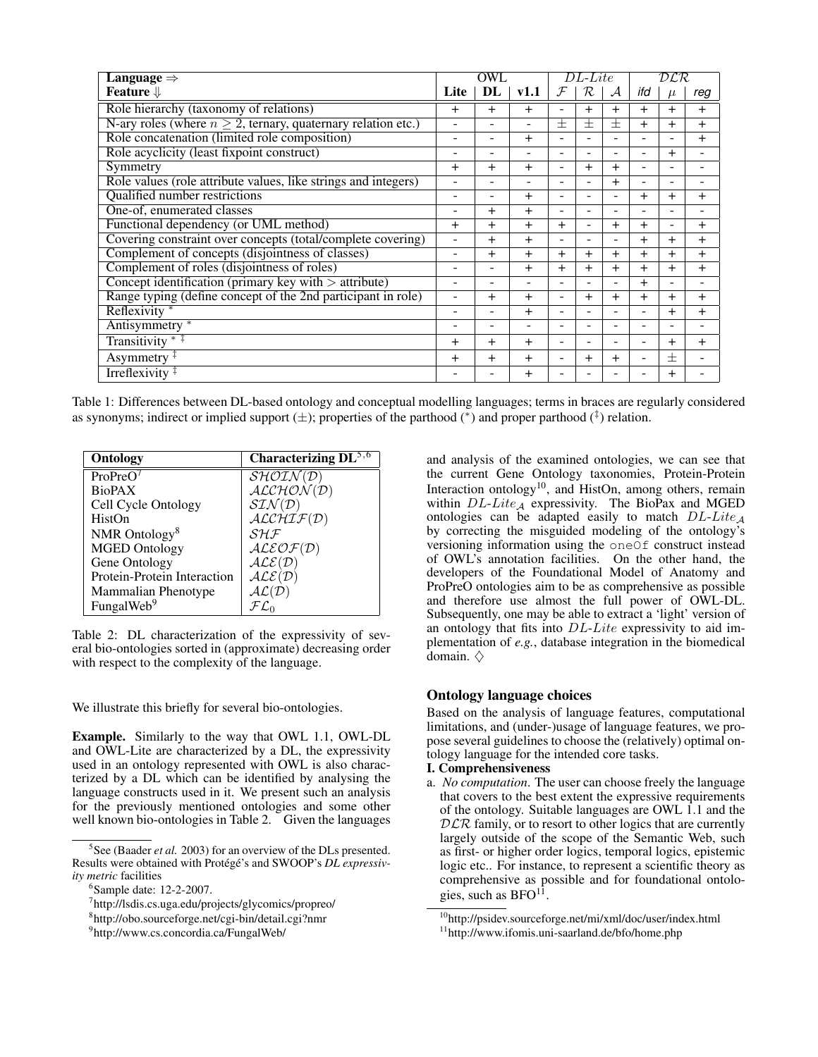| Language $\Rightarrow$                                             | OWL                      |                |                | $DL\text{-}Like$ |           |                | DLR                      |           |                |
|--------------------------------------------------------------------|--------------------------|----------------|----------------|------------------|-----------|----------------|--------------------------|-----------|----------------|
| Feature $\Downarrow$                                               | Lite                     | DL             | v1.1           | $\mathcal F$     | R.        | $\mathcal A$   | ifd                      |           | reg            |
| Role hierarchy (taxonomy of relations)                             | $\ddot{}$                | $\overline{+}$ | $+$            |                  | $\ddot{}$ | $+$            | $+$                      | $+$       | $\ddot{}$      |
| N-ary roles (where $n \geq 2$ , ternary, quaternary relation etc.) |                          | -              | ۰              | $\pm$            | $\pm$     | $\pm$          | $\ddot{}$                | $\ddot{}$ | $\ddot{}$      |
| Role concatenation (limited role composition)                      | $\overline{\phantom{a}}$ | ٠              | $+$            |                  | ٠         | ٠              |                          | ۰         | $\ddot{}$      |
| Role acyclicity (least fixpoint construct)                         | $\overline{\phantom{a}}$ | -              |                |                  | ۰         | $\equiv$       |                          | $+$       |                |
| Symmetry                                                           | $^{+}$                   | $\overline{+}$ | $+$            |                  | $\ddot{}$ | $+$            |                          |           |                |
| Role values (role attribute values, like strings and integers)     |                          | ۰              |                |                  | -         | $+$            |                          | ۰         |                |
| Qualified number restrictions                                      | ۰                        | -              | $+$            |                  | ۰         | ۰              | $\overline{+}$           | $\ddot{}$ | $\mathrm{+}$   |
| One-of, enumerated classes                                         |                          | $^{+}$         | $+$            |                  |           |                |                          |           |                |
| Functional dependency (or UML method)                              | $\ddot{}$                | $^{+}$         | $^{+}$         | $+$              | ۰         | $\overline{+}$ | $\ddot{}$                | ۰         | $\mathrm{+}$   |
| Covering constraint over concepts (total/complete covering)        | ۰                        | $^{+}$         | $+$            |                  | $\equiv$  | ۰              | $\ddot{}$                | $+$       | $\overline{+}$ |
| Complement of concepts (disjointness of classes)                   | ٠                        | $^{+}$         | $+$            | $\overline{+}$   | $\ddot{}$ | $+$            | $\ddot{}$                | $+$       | $\ddot{}$      |
| Complement of roles (disjointness of roles)                        | $\qquad \qquad -$        | -              | $+$            | $\ddot{}$        | $+$       | $+$            | $+$                      | $\ddot{}$ | $\ddot{}$      |
| Concept identification (primary key with $>$ attribute)            | ۰                        | -              | Ξ.             | -                | ۰         | ۰              | $\ddot{}$                | ۰         | ۰              |
| Range typing (define concept of the 2nd participant in role)       | ۰                        | $^{+}$         | $\overline{+}$ | -                | $\ddot{}$ | $+$            | $\ddot{}$                | $\ddot{}$ | $\ddot{}$      |
| Reflexivity                                                        | ۰                        | -              | $+$            | -                | ۰         | ۰              | $\overline{\phantom{a}}$ | $+$       | $\ddot{}$      |
| Antisymmetry *                                                     | $\overline{\phantom{a}}$ | ٠              | $\equiv$       |                  | ۰         | ۰              |                          | ۰         |                |
| Transitivity $*$ <sup><math>\ddagger</math></sup>                  | $\pm$                    | $\overline{+}$ | $+$            |                  |           | -              |                          | $\ddot{}$ | $\ddot{}$      |
| Asymmetry $\ddagger$                                               | $\overline{+}$           | $\overline{+}$ | $+$            |                  | $\ddot{}$ | $+$            |                          | $\pm$     |                |
| Irreflexivity $\ddagger$                                           |                          | -              | $\pm$          |                  |           |                |                          | $\pm$     |                |

Table 1: Differences between DL-based ontology and conceptual modelling languages; terms in braces are regularly considered as synonyms; indirect or implied support  $(\pm)$ ; properties of the parthood  $(*)$  and proper parthood  $(^{\ddagger})$  relation.

| Ontology                    | Characterizing $\overline{DL}^{5,6}$      |
|-----------------------------|-------------------------------------------|
| ProPreO <sup>7</sup>        | $\overline{\mathcal{SHOIN}(\mathcal{D})}$ |
| <b>BioPAX</b>               | ALCHON(D)                                 |
| Cell Cycle Ontology         | $STN(\mathcal{D})$                        |
| HistOn                      | ALCHIF(D)                                 |
| NMR Ontology <sup>8</sup>   | $\mathcal S\mathcal H\mathcal F$          |
| <b>MGED Ontology</b>        | ALEOF(D)                                  |
| Gene Ontology               | ALE(D)                                    |
| Protein-Protein Interaction | ALE(D)                                    |
| Mammalian Phenotype         | $AL(\mathcal{D})$                         |
| FungalWeb <sup>9</sup>      |                                           |

Table 2: DL characterization of the expressivity of several bio-ontologies sorted in (approximate) decreasing order with respect to the complexity of the language.

We illustrate this briefly for several bio-ontologies.

Example. Similarly to the way that OWL 1.1, OWL-DL and OWL-Lite are characterized by a DL, the expressivity used in an ontology represented with OWL is also characterized by a DL which can be identified by analysing the language constructs used in it. We present such an analysis for the previously mentioned ontologies and some other well known bio-ontologies in Table 2. Given the languages

and analysis of the examined ontologies, we can see that the current Gene Ontology taxonomies, Protein-Protein Interaction ontology<sup>10</sup>, and HistOn, among others, remain within  $DL\text{-}Lie_A$  expressivity. The BioPax and MGED ontologies can be adapted easily to match  $DL\text{-}Like_A$ by correcting the misguided modeling of the ontology's versioning information using the oneOf construct instead of OWL's annotation facilities. On the other hand, the developers of the Foundational Model of Anatomy and ProPreO ontologies aim to be as comprehensive as possible and therefore use almost the full power of OWL-DL. Subsequently, one may be able to extract a 'light' version of an ontology that fits into DL-Lite expressivity to aid implementation of *e.g.*, database integration in the biomedical domain.  $\diamondsuit$ 

#### Ontology language choices

Based on the analysis of language features, computational limitations, and (under-)usage of language features, we propose several guidelines to choose the (relatively) optimal ontology language for the intended core tasks.

## I. Comprehensiveness

a. *No computation*. The user can choose freely the language that covers to the best extent the expressive requirements of the ontology. Suitable languages are OWL 1.1 and the  $DLR$  family, or to resort to other logics that are currently largely outside of the scope of the Semantic Web, such as first- or higher order logics, temporal logics, epistemic logic etc.. For instance, to represent a scientific theory as comprehensive as possible and for foundational ontologies, such as  $BFO<sup>11</sup>$ .

<sup>5</sup> See (Baader *et al.* 2003) for an overview of the DLs presented. Results were obtained with Protégé's and SWOOP's *DL expressivity metric* facilities

<sup>6</sup> Sample date: 12-2-2007.

<sup>7</sup> http://lsdis.cs.uga.edu/projects/glycomics/propreo/

<sup>8</sup> http://obo.sourceforge.net/cgi-bin/detail.cgi?nmr

<sup>9</sup> http://www.cs.concordia.ca/FungalWeb/

<sup>10</sup>http://psidev.sourceforge.net/mi/xml/doc/user/index.html

<sup>11</sup>http://www.ifomis.uni-saarland.de/bfo/home.php